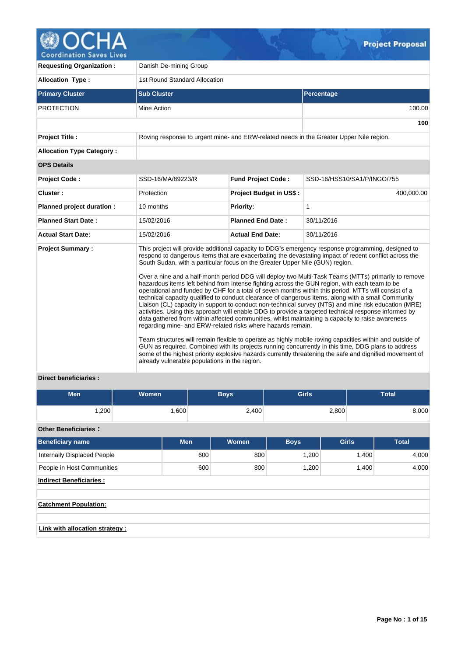

| <b>Requesting Organization:</b>  | Danish De-mining Group                                                                                                                                                                       |                                                                                         |                                                                                                                                                                                                                                                                                                                                                                                                                                                                                                                                                                                                                                                                                                                                                                                                                                                                                                                                                                                                                                                                                                                                                                                                                                                                                     |  |  |  |  |
|----------------------------------|----------------------------------------------------------------------------------------------------------------------------------------------------------------------------------------------|-----------------------------------------------------------------------------------------|-------------------------------------------------------------------------------------------------------------------------------------------------------------------------------------------------------------------------------------------------------------------------------------------------------------------------------------------------------------------------------------------------------------------------------------------------------------------------------------------------------------------------------------------------------------------------------------------------------------------------------------------------------------------------------------------------------------------------------------------------------------------------------------------------------------------------------------------------------------------------------------------------------------------------------------------------------------------------------------------------------------------------------------------------------------------------------------------------------------------------------------------------------------------------------------------------------------------------------------------------------------------------------------|--|--|--|--|
| <b>Allocation Type:</b>          | 1st Round Standard Allocation                                                                                                                                                                |                                                                                         |                                                                                                                                                                                                                                                                                                                                                                                                                                                                                                                                                                                                                                                                                                                                                                                                                                                                                                                                                                                                                                                                                                                                                                                                                                                                                     |  |  |  |  |
| <b>Primary Cluster</b>           | <b>Sub Cluster</b>                                                                                                                                                                           |                                                                                         | Percentage                                                                                                                                                                                                                                                                                                                                                                                                                                                                                                                                                                                                                                                                                                                                                                                                                                                                                                                                                                                                                                                                                                                                                                                                                                                                          |  |  |  |  |
| <b>PROTECTION</b>                | Mine Action                                                                                                                                                                                  |                                                                                         | 100.00                                                                                                                                                                                                                                                                                                                                                                                                                                                                                                                                                                                                                                                                                                                                                                                                                                                                                                                                                                                                                                                                                                                                                                                                                                                                              |  |  |  |  |
|                                  |                                                                                                                                                                                              |                                                                                         | 100                                                                                                                                                                                                                                                                                                                                                                                                                                                                                                                                                                                                                                                                                                                                                                                                                                                                                                                                                                                                                                                                                                                                                                                                                                                                                 |  |  |  |  |
| <b>Project Title:</b>            |                                                                                                                                                                                              | Roving response to urgent mine- and ERW-related needs in the Greater Upper Nile region. |                                                                                                                                                                                                                                                                                                                                                                                                                                                                                                                                                                                                                                                                                                                                                                                                                                                                                                                                                                                                                                                                                                                                                                                                                                                                                     |  |  |  |  |
| <b>Allocation Type Category:</b> |                                                                                                                                                                                              |                                                                                         |                                                                                                                                                                                                                                                                                                                                                                                                                                                                                                                                                                                                                                                                                                                                                                                                                                                                                                                                                                                                                                                                                                                                                                                                                                                                                     |  |  |  |  |
| <b>OPS Details</b>               |                                                                                                                                                                                              |                                                                                         |                                                                                                                                                                                                                                                                                                                                                                                                                                                                                                                                                                                                                                                                                                                                                                                                                                                                                                                                                                                                                                                                                                                                                                                                                                                                                     |  |  |  |  |
| <b>Project Code:</b>             | SSD-16/MA/89223/R                                                                                                                                                                            | <b>Fund Project Code:</b>                                                               | SSD-16/HSS10/SA1/P/INGO/755                                                                                                                                                                                                                                                                                                                                                                                                                                                                                                                                                                                                                                                                                                                                                                                                                                                                                                                                                                                                                                                                                                                                                                                                                                                         |  |  |  |  |
| Cluster:                         | Protection                                                                                                                                                                                   | Project Budget in US\$:                                                                 | 400,000.00                                                                                                                                                                                                                                                                                                                                                                                                                                                                                                                                                                                                                                                                                                                                                                                                                                                                                                                                                                                                                                                                                                                                                                                                                                                                          |  |  |  |  |
| Planned project duration :       | 10 months                                                                                                                                                                                    | Priority:                                                                               | 1                                                                                                                                                                                                                                                                                                                                                                                                                                                                                                                                                                                                                                                                                                                                                                                                                                                                                                                                                                                                                                                                                                                                                                                                                                                                                   |  |  |  |  |
| <b>Planned Start Date:</b>       | 15/02/2016                                                                                                                                                                                   | <b>Planned End Date:</b>                                                                | 30/11/2016                                                                                                                                                                                                                                                                                                                                                                                                                                                                                                                                                                                                                                                                                                                                                                                                                                                                                                                                                                                                                                                                                                                                                                                                                                                                          |  |  |  |  |
| <b>Actual Start Date:</b>        | 15/02/2016                                                                                                                                                                                   | <b>Actual End Date:</b>                                                                 | 30/11/2016                                                                                                                                                                                                                                                                                                                                                                                                                                                                                                                                                                                                                                                                                                                                                                                                                                                                                                                                                                                                                                                                                                                                                                                                                                                                          |  |  |  |  |
| <b>Project Summary:</b>          | South Sudan, with a particular focus on the Greater Upper Nile (GUN) region.<br>regarding mine- and ERW-related risks where hazards remain.<br>already vulnerable populations in the region. |                                                                                         | This project will provide additional capacity to DDG's emergency response programming, designed to<br>respond to dangerous items that are exacerbating the devastating impact of recent conflict across the<br>Over a nine and a half-month period DDG will deploy two Multi-Task Teams (MTTs) primarily to remove<br>hazardous items left behind from intense fighting across the GUN region, with each team to be<br>operational and funded by CHF for a total of seven months within this period. MTTs will consist of a<br>technical capacity qualified to conduct clearance of dangerous items, along with a small Community<br>Liaison (CL) capacity in support to conduct non-technical survey (NTS) and mine risk education (MRE)<br>activities. Using this approach will enable DDG to provide a targeted technical response informed by<br>data gathered from within affected communities, whilst maintaining a capacity to raise awareness<br>Team structures will remain flexible to operate as highly mobile roving capacities within and outside of<br>GUN as required. Combined with its projects running concurrently in this time, DDG plans to address<br>some of the highest priority explosive hazards currently threatening the safe and dignified movement of |  |  |  |  |

## **Direct beneficiaries :**

| Men  | Women <sup>1</sup> | <b>Boys</b> | <b>Girls</b> | <b>Total</b> |
|------|--------------------|-------------|--------------|--------------|
| ,200 | .600               | 2,400       | 2,800        | 8,000        |

# **Other Beneficiaries :**

| <b>Beneficiary name</b>         | <b>Men</b> | <b>Women</b> | <b>Boys</b> | <b>Girls</b> | <b>Total</b> |  |  |  |  |  |
|---------------------------------|------------|--------------|-------------|--------------|--------------|--|--|--|--|--|
| Internally Displaced People     | 600        | 800          | 1,200       | 1,400        | 4,000        |  |  |  |  |  |
| People in Host Communities      | 600        | 800          | 1,200       | 1,400        | 4,000        |  |  |  |  |  |
| <b>Indirect Beneficiaries:</b>  |            |              |             |              |              |  |  |  |  |  |
|                                 |            |              |             |              |              |  |  |  |  |  |
| <b>Catchment Population:</b>    |            |              |             |              |              |  |  |  |  |  |
|                                 |            |              |             |              |              |  |  |  |  |  |
| Link with allocation strategy : |            |              |             |              |              |  |  |  |  |  |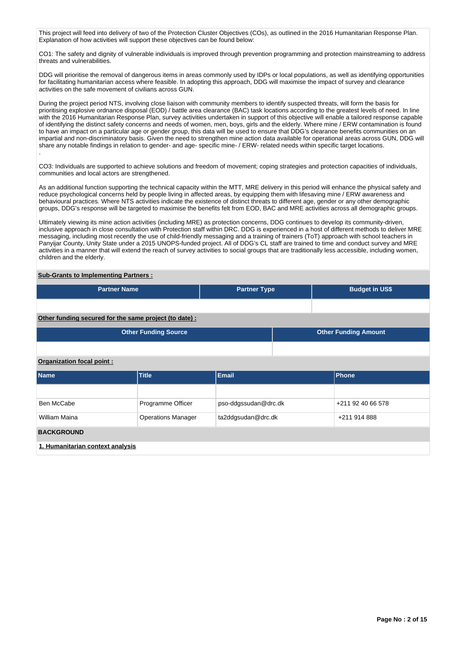This project will feed into delivery of two of the Protection Cluster Objectives (COs), as outlined in the 2016 Humanitarian Response Plan. Explanation of how activities will support these objectives can be found below:

CO1: The safety and dignity of vulnerable individuals is improved through prevention programming and protection mainstreaming to address threats and vulnerabilities.

DDG will prioritise the removal of dangerous items in areas commonly used by IDPs or local populations, as well as identifying opportunities for facilitating humanitarian access where feasible. In adopting this approach, DDG will maximise the impact of survey and clearance activities on the safe movement of civilians across GUN.

During the project period NTS, involving close liaison with community members to identify suspected threats, will form the basis for prioritising explosive ordnance disposal (EOD) / battle area clearance (BAC) task locations according to the greatest levels of need. In line with the 2016 Humanitarian Response Plan, survey activities undertaken in support of this objective will enable a tailored response capable of identifying the distinct safety concerns and needs of women, men, boys, girls and the elderly. Where mine / ERW contamination is found to have an impact on a particular age or gender group, this data will be used to ensure that DDG's clearance benefits communities on an impartial and non-discriminatory basis. Given the need to strengthen mine action data available for operational areas across GUN, DDG will share any notable findings in relation to gender- and age- specific mine- / ERW- related needs within specific target locations. .

CO3: Individuals are supported to achieve solutions and freedom of movement; coping strategies and protection capacities of individuals, communities and local actors are strengthened.

As an additional function supporting the technical capacity within the MTT, MRE delivery in this period will enhance the physical safety and reduce psychological concerns held by people living in affected areas, by equipping them with lifesaving mine / ERW awareness and behavioural practices. Where NTS activities indicate the existence of distinct threats to different age, gender or any other demographic groups, DDG's response will be targeted to maximise the benefits felt from EOD, BAC and MRE activities across all demographic groups.

Ultimately viewing its mine action activities (including MRE) as protection concerns, DDG continues to develop its community-driven, inclusive approach in close consultation with Protection staff within DRC. DDG is experienced in a host of different methods to deliver MRE messaging, including most recently the use of child-friendly messaging and a training of trainers (ToT) approach with school teachers in Panyijar County, Unity State under a 2015 UNOPS-funded project. All of DDG's CL staff are trained to time and conduct survey and MRE activities in a manner that will extend the reach of survey activities to social groups that are traditionally less accessible, including women, children and the elderly.

## **Sub-Grants to Implementing Partners :**

| <b>Partner Name</b>                                    |                             | <b>Partner Type</b>  |                             | <b>Budget in US\$</b> |  |  |  |  |  |
|--------------------------------------------------------|-----------------------------|----------------------|-----------------------------|-----------------------|--|--|--|--|--|
|                                                        |                             |                      |                             |                       |  |  |  |  |  |
| Other funding secured for the same project (to date) : |                             |                      |                             |                       |  |  |  |  |  |
|                                                        | <b>Other Funding Source</b> |                      | <b>Other Funding Amount</b> |                       |  |  |  |  |  |
|                                                        |                             |                      |                             |                       |  |  |  |  |  |
| Organization focal point:                              |                             |                      |                             |                       |  |  |  |  |  |
| <b>Name</b>                                            | Title                       | <b>Email</b>         |                             | <b>Phone</b>          |  |  |  |  |  |
|                                                        |                             |                      |                             |                       |  |  |  |  |  |
| Ben McCabe                                             | Programme Officer           | pso-ddgssudan@drc.dk |                             | +211 92 40 66 578     |  |  |  |  |  |
| <b>William Maina</b>                                   | <b>Operations Manager</b>   | ta2ddgsudan@drc.dk   |                             | +211 914 888          |  |  |  |  |  |
| <b>BACKGROUND</b>                                      |                             |                      |                             |                       |  |  |  |  |  |
| 1. Humanitarian context analysis                       |                             |                      |                             |                       |  |  |  |  |  |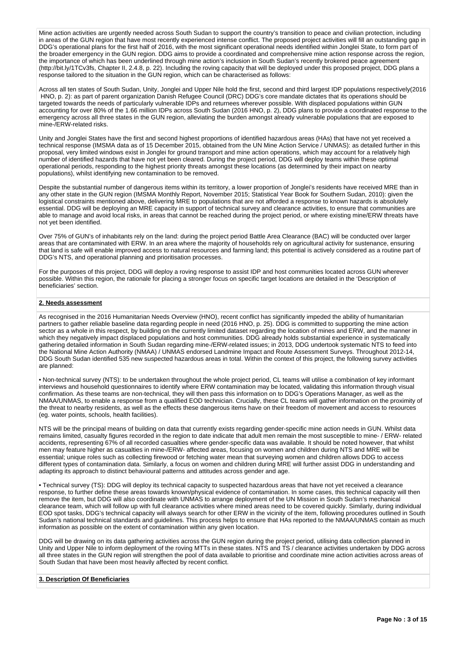Mine action activities are urgently needed across South Sudan to support the country's transition to peace and civilian protection, including in areas of the GUN region that have most recently experienced intense conflict. The proposed project activities will fill an outstanding gap in DDG's operational plans for the first half of 2016, with the most significant operational needs identified within Jonglei State, to form part of the broader emergency in the GUN region. DDG aims to provide a coordinated and comprehensive mine action response across the region, the importance of which has been underlined through mine action's inclusion in South Sudan's recently brokered peace agreement (http://bit.ly/1TCv3fs, Chapter II, 2.4.8, p. 22). Including the roving capacity that will be deployed under this proposed project, DDG plans a response tailored to the situation in the GUN region, which can be characterised as follows:

Across all ten states of South Sudan, Unity, Jonglei and Upper Nile hold the first, second and third largest IDP populations respectively(2016 HNO, p. 2): as part of parent organization Danish Refugee Council (DRC) DDG's core mandate dictates that its operations should be targeted towards the needs of particularly vulnerable IDPs and returnees wherever possible. With displaced populations within GUN accounting for over 80% of the 1.66 million IDPs across South Sudan (2016 HNO, p. 2), DDG plans to provide a coordinated response to the emergency across all three states in the GUN region, alleviating the burden amongst already vulnerable populations that are exposed to mine-/ERW-related risks.

Unity and Jonglei States have the first and second highest proportions of identified hazardous areas (HAs) that have not yet received a technical response (IMSMA data as of 15 December 2015, obtained from the UN Mine Action Service / UNMAS): as detailed further in this proposal, very limited windows exist in Jonglei for ground transport and mine action operations, which may account for a relatively high number of identified hazards that have not yet been cleared. During the project period, DDG will deploy teams within these optimal operational periods, responding to the highest priority threats amongst these locations (as determined by their impact on nearby populations), whilst identifying new contamination to be removed.

Despite the substantial number of dangerous items within its territory, a lower proportion of Jonglei's residents have received MRE than in any other state in the GUN region (IMSMA Monthly Report, November 2015; Statistical Year Book for Southern Sudan, 2010): given the logistical constraints mentioned above, delivering MRE to populations that are not afforded a response to known hazards is absolutely essential. DDG will be deploying an MRE capacity in support of technical survey and clearance activities, to ensure that communities are able to manage and avoid local risks, in areas that cannot be reached during the project period, or where existing mine/ERW threats have not yet been identified.

Over 75% of GUN's of inhabitants rely on the land: during the project period Battle Area Clearance (BAC) will be conducted over larger areas that are contaminated with ERW. In an area where the majority of households rely on agricultural activity for sustenance, ensuring that land is safe will enable improved access to natural resources and farming land; this potential is actively considered as a routine part of DDG's NTS, and operational planning and prioritisation processes.

For the purposes of this project, DDG will deploy a roving response to assist IDP and host communities located across GUN wherever possible. Within this region, the rationale for placing a stronger focus on specific target locations are detailed in the 'Description of beneficiaries' section.

#### **2. Needs assessment**

As recognised in the 2016 Humanitarian Needs Overview (HNO), recent conflict has significantly impeded the ability of humanitarian partners to gather reliable baseline data regarding people in need (2016 HNO, p. 25). DDG is committed to supporting the mine action sector as a whole in this respect, by building on the currently limited dataset regarding the location of mines and ERW, and the manner in which they negatively impact displaced populations and host communities. DDG already holds substantial experience in systematically gathering detailed information in South Sudan regarding mine-/ERW-related issues; in 2013, DDG undertook systematic NTS to feed into the National Mine Action Authority (NMAA) / UNMAS endorsed Landmine Impact and Route Assessment Surveys. Throughout 2012-14, DDG South Sudan identified 535 new suspected hazardous areas in total. Within the context of this project, the following survey activities are planned:

• Non-technical survey (NTS): to be undertaken throughout the whole project period, CL teams will utilise a combination of key informant interviews and household questionnaires to identify where ERW contamination may be located, validating this information through visual confirmation. As these teams are non-technical, they will then pass this information on to DDG's Operations Manager, as well as the NMAA/UNMAS, to enable a response from a qualified EOD technician. Crucially, these CL teams will gather information on the proximity of the threat to nearby residents, as well as the effects these dangerous items have on their freedom of movement and access to resources (eg. water points, schools, health facilities).

NTS will be the principal means of building on data that currently exists regarding gender-specific mine action needs in GUN. Whilst data remains limited, casualty figures recorded in the region to date indicate that adult men remain the most susceptible to mine- / ERW- related accidents, representing 67% of all recorded casualties where gender-specific data was available. It should be noted however, that whilst men may feature higher as casualties in mine-/ERW- affected areas, focusing on women and children during NTS and MRE will be essential; unique roles such as collecting firewood or fetching water mean that surveying women and children allows DDG to access different types of contamination data. Similarly, a focus on women and children during MRE will further assist DDG in understanding and adapting its approach to distinct behavioural patterns and attitudes across gender and age.

• Technical survey (TS): DDG will deploy its technical capacity to suspected hazardous areas that have not yet received a clearance response, to further define these areas towards known/physical evidence of contamination. In some cases, this technical capacity will then remove the item, but DDG will also coordinate with UNMAS to arrange deployment of the UN Mission in South Sudan's mechanical clearance team, which will follow up with full clearance activities where mined areas need to be covered quickly. Similarly, during individual EOD spot tasks, DDG's technical capacity will always search for other ERW in the vicinity of the item, following procedures outlined in South Sudan's national technical standards and guidelines. This process helps to ensure that HAs reported to the NMAA/UNMAS contain as much information as possible on the extent of contamination within any given location.

DDG will be drawing on its data gathering activities across the GUN region during the project period, utilising data collection planned in Unity and Upper Nile to inform deployment of the roving MTTs in these states. NTS and TS / clearance activities undertaken by DDG across all three states in the GUN region will strengthen the pool of data available to prioritise and coordinate mine action activities across areas of South Sudan that have been most heavily affected by recent conflict.

#### **3. Description Of Beneficiaries**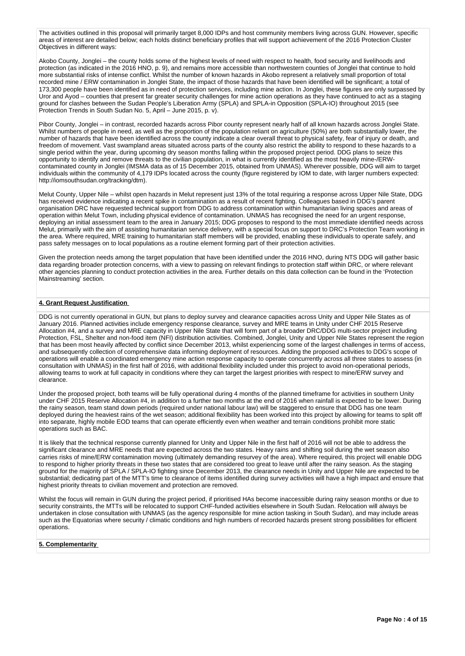The activities outlined in this proposal will primarily target 8,000 IDPs and host community members living across GUN. However, specific areas of interest are detailed below; each holds distinct beneficiary profiles that will support achievement of the 2016 Protection Cluster Objectives in different ways:

Akobo County, Jonglei – the county holds some of the highest levels of need with respect to health, food security and livelihoods and protection (as indicated in the 2016 HNO, p. 9), and remains more accessible than northwestern counties of Jonglei that continue to hold more substantial risks of intense conflict. Whilst the number of known hazards in Akobo represent a relatively small proportion of total recorded mine / ERW contamination in Jonglei State, the impact of those hazards that have been identified will be significant; a total of 173,300 people have been identified as in need of protection services, including mine action. In Jonglei, these figures are only surpassed by Uror and Ayod – counties that present far greater security challenges for mine action operations as they have continued to act as a staging ground for clashes between the Sudan People's Liberation Army (SPLA) and SPLA-in Opposition (SPLA-IO) throughout 2015 (see Protection Trends in South Sudan No. 5, April – June 2015, p. v).

Pibor County, Jonglei – in contrast, recorded hazards across Pibor county represent nearly half of all known hazards across Jonglei State. Whilst numbers of people in need, as well as the proportion of the population reliant on agriculture (50%) are both substantially lower, the number of hazards that have been identified across the county indicate a clear overall threat to physical safety, fear of injury or death, and freedom of movement. Vast swampland areas situated across parts of the county also restrict the ability to respond to these hazards to a single period within the year, during upcoming dry season months falling within the proposed project period. DDG plans to seize this opportunity to identify and remove threats to the civilian population, in what is currently identified as the most heavily mine-/ERWcontaminated county in Jonglei (IMSMA data as of 15 December 2015, obtained from UNMAS). Wherever possible, DDG will aim to target individuals within the community of 4,179 IDPs located across the county (figure registered by IOM to date, with larger numbers expected: http://iomsouthsudan.org/tracking/dtm).

Melut County, Upper Nile – whilst open hazards in Melut represent just 13% of the total requiring a response across Upper Nile State, DDG has received evidence indicating a recent spike in contamination as a result of recent fighting. Colleagues based in DDG's parent organisation DRC have requested technical support from DDG to address contamination within humanitarian living spaces and areas of operation within Melut Town, including physical evidence of contamination. UNMAS has recognised the need for an urgent response, deploying an initial assessment team to the area in January 2015; DDG proposes to respond to the most immediate identified needs across Melut, primarily with the aim of assisting humanitarian service delivery, with a special focus on support to DRC's Protection Team working in the area. Where required, MRE training to humanitarian staff members will be provided, enabling these individuals to operate safely, and pass safety messages on to local populations as a routine element forming part of their protection activities.

Given the protection needs among the target population that have been identified under the 2016 HNO, during NTS DDG will gather basic data regarding broader protection concerns, with a view to passing on relevant findings to protection staff within DRC, or where relevant other agencies planning to conduct protection activities in the area. Further details on this data collection can be found in the 'Protection Mainstreaming' section.

## **4. Grant Request Justification**

DDG is not currently operational in GUN, but plans to deploy survey and clearance capacities across Unity and Upper Nile States as of January 2016. Planned activities include emergency response clearance, survey and MRE teams in Unity under CHF 2015 Reserve Allocation #4, and a survey and MRE capacity in Upper Nile State that will form part of a broader DRC/DDG multi-sector project including Protection, FSL, Shelter and non-food item (NFI) distribution activities. Combined, Jonglei, Unity and Upper Nile States represent the region that has been most heavily affected by conflict since December 2013, whilst experiencing some of the largest challenges in terms of access, and subsequently collection of comprehensive data informing deployment of resources. Adding the proposed activities to DDG's scope of operations will enable a coordinated emergency mine action response capacity to operate concurrently across all three states to assess (in consultation with UNMAS) in the first half of 2016, with additional flexibility included under this project to avoid non-operational periods, allowing teams to work at full capacity in conditions where they can target the largest priorities with respect to mine/ERW survey and clearance.

Under the proposed project, both teams will be fully operational during 4 months of the planned timeframe for activities in southern Unity under CHF 2015 Reserve Allocation #4, in addition to a further two months at the end of 2016 when rainfall is expected to be lower. During the rainy season, team stand down periods (required under national labour law) will be staggered to ensure that DDG has one team deployed during the heaviest rains of the wet season; additional flexibility has been worked into this project by allowing for teams to split off into separate, highly mobile EOD teams that can operate efficiently even when weather and terrain conditions prohibit more static operations such as BAC.

It is likely that the technical response currently planned for Unity and Upper Nile in the first half of 2016 will not be able to address the significant clearance and MRE needs that are expected across the two states. Heavy rains and shifting soil during the wet season also carries risks of mine/ERW contamination moving (ultimately demanding resurvey of the area). Where required, this project will enable DDG to respond to higher priority threats in these two states that are considered too great to leave until after the rainy season. As the staging ground for the majority of SPLA / SPLA-IO fighting since December 2013, the clearance needs in Unity and Upper Nile are expected to be substantial; dedicating part of the MTT's time to clearance of items identified during survey activities will have a high impact and ensure that highest priority threats to civilian movement and protection are removed.

Whilst the focus will remain in GUN during the project period, if prioritised HAs become inaccessible during rainy season months or due to security constraints, the MTTs will be relocated to support CHF-funded activities elsewhere in South Sudan. Relocation will always be undertaken in close consultation with UNMAS (as the agency responsible for mine action tasking in South Sudan), and may include areas such as the Equatorias where security / climatic conditions and high numbers of recorded hazards present strong possibilities for efficient operations.

#### **5. Complementarity**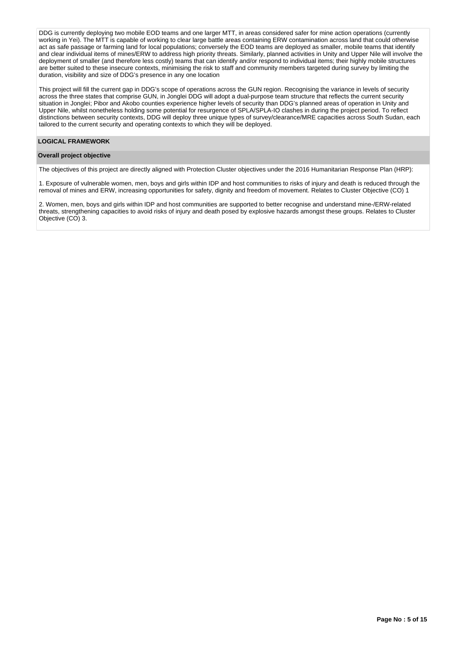DDG is currently deploying two mobile EOD teams and one larger MTT, in areas considered safer for mine action operations (currently working in Yei). The MTT is capable of working to clear large battle areas containing ERW contamination across land that could otherwise act as safe passage or farming land for local populations; conversely the EOD teams are deployed as smaller, mobile teams that identify and clear individual items of mines/ERW to address high priority threats. Similarly, planned activities in Unity and Upper Nile will involve the deployment of smaller (and therefore less costly) teams that can identify and/or respond to individual items; their highly mobile structures are better suited to these insecure contexts, minimising the risk to staff and community members targeted during survey by limiting the duration, visibility and size of DDG's presence in any one location

This project will fill the current gap in DDG's scope of operations across the GUN region. Recognising the variance in levels of security across the three states that comprise GUN, in Jonglei DDG will adopt a dual-purpose team structure that reflects the current security situation in Jonglei; Pibor and Akobo counties experience higher levels of security than DDG's planned areas of operation in Unity and Upper Nile, whilst nonetheless holding some potential for resurgence of SPLA/SPLA-IO clashes in during the project period. To reflect distinctions between security contexts, DDG will deploy three unique types of survey/clearance/MRE capacities across South Sudan, each tailored to the current security and operating contexts to which they will be deployed.

#### **LOGICAL FRAMEWORK**

#### **Overall project objective**

The objectives of this project are directly aligned with Protection Cluster objectives under the 2016 Humanitarian Response Plan (HRP):

1. Exposure of vulnerable women, men, boys and girls within IDP and host communities to risks of injury and death is reduced through the removal of mines and ERW, increasing opportunities for safety, dignity and freedom of movement. Relates to Cluster Objective (CO) 1

2. Women, men, boys and girls within IDP and host communities are supported to better recognise and understand mine-/ERW-related threats, strengthening capacities to avoid risks of injury and death posed by explosive hazards amongst these groups. Relates to Cluster Objective (CO) 3.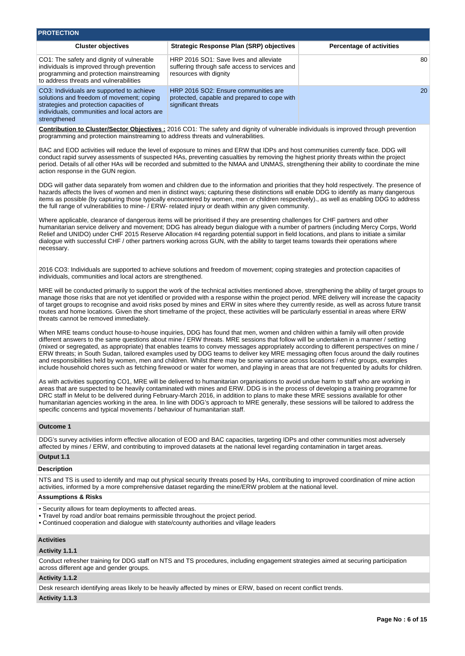| <b>PROTECTION</b>                                                                                                                                                                                                                      |                                                                                                                                                                                                                                                                                                                                                                                                                                                                                                                                                                                                                                                                                                                                                                                                                                              |                                 |
|----------------------------------------------------------------------------------------------------------------------------------------------------------------------------------------------------------------------------------------|----------------------------------------------------------------------------------------------------------------------------------------------------------------------------------------------------------------------------------------------------------------------------------------------------------------------------------------------------------------------------------------------------------------------------------------------------------------------------------------------------------------------------------------------------------------------------------------------------------------------------------------------------------------------------------------------------------------------------------------------------------------------------------------------------------------------------------------------|---------------------------------|
|                                                                                                                                                                                                                                        |                                                                                                                                                                                                                                                                                                                                                                                                                                                                                                                                                                                                                                                                                                                                                                                                                                              |                                 |
| <b>Cluster objectives</b>                                                                                                                                                                                                              | <b>Strategic Response Plan (SRP) objectives</b>                                                                                                                                                                                                                                                                                                                                                                                                                                                                                                                                                                                                                                                                                                                                                                                              | <b>Percentage of activities</b> |
| CO1: The safety and dignity of vulnerable<br>individuals is improved through prevention<br>programming and protection mainstreaming<br>to address threats and vulnerabilities                                                          | HRP 2016 SO1: Save lives and alleviate<br>suffering through safe access to services and<br>resources with dignity                                                                                                                                                                                                                                                                                                                                                                                                                                                                                                                                                                                                                                                                                                                            | 80                              |
| CO3: Individuals are supported to achieve<br>solutions and freedom of movement; coping<br>strategies and protection capacities of<br>individuals, communities and local actors are<br>strengthened                                     | HRP 2016 SO2: Ensure communities are<br>protected, capable and prepared to cope with<br>significant threats                                                                                                                                                                                                                                                                                                                                                                                                                                                                                                                                                                                                                                                                                                                                  | 20                              |
| programming and protection mainstreaming to address threats and vulnerabilities.                                                                                                                                                       | Contribution to Cluster/Sector Objectives: 2016 CO1: The safety and dignity of vulnerable individuals is improved through prevention                                                                                                                                                                                                                                                                                                                                                                                                                                                                                                                                                                                                                                                                                                         |                                 |
| action response in the GUN region.                                                                                                                                                                                                     | BAC and EOD activities will reduce the level of exposure to mines and ERW that IDPs and host communities currently face. DDG will<br>conduct rapid survey assessments of suspected HAs, preventing casualties by removing the highest priority threats within the project<br>period. Details of all other HAs will be recorded and submitted to the NMAA and UNMAS, strengthening their ability to coordinate the mine                                                                                                                                                                                                                                                                                                                                                                                                                       |                                 |
|                                                                                                                                                                                                                                        | DDG will gather data separately from women and children due to the information and priorities that they hold respectively. The presence of<br>hazards affects the lives of women and men in distinct ways; capturing these distinctions will enable DDG to identify as many dangerous<br>items as possible (by capturing those typically encountered by women, men or children respectively)., as well as enabling DDG to address<br>the full range of vulnerabilities to mine- / ERW- related injury or death within any given community.                                                                                                                                                                                                                                                                                                   |                                 |
| necessary.                                                                                                                                                                                                                             | Where applicable, clearance of dangerous items will be prioritised if they are presenting challenges for CHF partners and other<br>humanitarian service delivery and movement; DDG has already begun dialogue with a number of partners (including Mercy Corps, World<br>Relief and UNIDO) under CHF 2015 Reserve Allocation #4 regarding potential support in field locations, and plans to initiate a similar<br>dialogue with successful CHF / other partners working across GUN, with the ability to target teams towards their operations where                                                                                                                                                                                                                                                                                         |                                 |
| individuals, communities and local actors are strengthened.                                                                                                                                                                            | 2016 CO3: Individuals are supported to achieve solutions and freedom of movement; coping strategies and protection capacities of                                                                                                                                                                                                                                                                                                                                                                                                                                                                                                                                                                                                                                                                                                             |                                 |
| threats cannot be removed immediately.                                                                                                                                                                                                 | MRE will be conducted primarily to support the work of the technical activities mentioned above, strengthening the ability of target groups to<br>manage those risks that are not yet identified or provided with a response within the project period. MRE delivery will increase the capacity<br>of target groups to recognise and avoid risks posed by mines and ERW in sites where they currently reside, as well as across future transit<br>routes and home locations. Given the short timeframe of the project, these activities will be particularly essential in areas where ERW                                                                                                                                                                                                                                                    |                                 |
|                                                                                                                                                                                                                                        | When MRE teams conduct house-to-house inquiries, DDG has found that men, women and children within a family will often provide<br>different answers to the same questions about mine / ERW threats. MRE sessions that follow will be undertaken in a manner / setting<br>(mixed or segregated, as appropriate) that enables teams to convey messages appropriately according to different perspectives on mine /<br>ERW threats; in South Sudan, tailored examples used by DDG teams to deliver key MRE messaging often focus around the daily routines<br>and responsibilities held by women, men and children. Whilst there may be some variance across locations / ethnic groups, examples<br>include household chores such as fetching firewood or water for women, and playing in areas that are not frequented by adults for children. |                                 |
| specific concerns and typical movements / behaviour of humanitarian staff.                                                                                                                                                             | As with activities supporting CO1, MRE will be delivered to humanitarian organisations to avoid undue harm to staff who are working in<br>areas that are suspected to be heavily contaminated with mines and ERW. DDG is in the process of developing a training programme for<br>DRC staff in Melut to be delivered during February-March 2016, in addition to plans to make these MRE sessions available for other<br>humanitarian agencies working in the area. In line with DDG's approach to MRE generally, these sessions will be tailored to address the                                                                                                                                                                                                                                                                              |                                 |
| <b>Outcome 1</b>                                                                                                                                                                                                                       |                                                                                                                                                                                                                                                                                                                                                                                                                                                                                                                                                                                                                                                                                                                                                                                                                                              |                                 |
| Output 1.1                                                                                                                                                                                                                             | DDG's survey activities inform effective allocation of EOD and BAC capacities, targeting IDPs and other communities most adversely<br>affected by mines / ERW, and contributing to improved datasets at the national level regarding contamination in target areas.                                                                                                                                                                                                                                                                                                                                                                                                                                                                                                                                                                          |                                 |
|                                                                                                                                                                                                                                        |                                                                                                                                                                                                                                                                                                                                                                                                                                                                                                                                                                                                                                                                                                                                                                                                                                              |                                 |
| <b>Description</b>                                                                                                                                                                                                                     | NTS and TS is used to identify and map out physical security threats posed by HAs, contributing to improved coordination of mine action<br>activities, informed by a more comprehensive dataset regarding the mine/ERW problem at the national level.                                                                                                                                                                                                                                                                                                                                                                                                                                                                                                                                                                                        |                                 |
| <b>Assumptions &amp; Risks</b>                                                                                                                                                                                                         |                                                                                                                                                                                                                                                                                                                                                                                                                                                                                                                                                                                                                                                                                                                                                                                                                                              |                                 |
| • Security allows for team deployments to affected areas.<br>. Travel by road and/or boat remains permissible throughout the project period.<br>• Continued cooperation and dialogue with state/county authorities and village leaders |                                                                                                                                                                                                                                                                                                                                                                                                                                                                                                                                                                                                                                                                                                                                                                                                                                              |                                 |
| <b>Activities</b><br>Activity 1.1.1                                                                                                                                                                                                    |                                                                                                                                                                                                                                                                                                                                                                                                                                                                                                                                                                                                                                                                                                                                                                                                                                              |                                 |
| across different age and gender groups.                                                                                                                                                                                                | Conduct refresher training for DDG staff on NTS and TS procedures, including engagement strategies aimed at securing participation                                                                                                                                                                                                                                                                                                                                                                                                                                                                                                                                                                                                                                                                                                           |                                 |
| Activity 1.1.2                                                                                                                                                                                                                         |                                                                                                                                                                                                                                                                                                                                                                                                                                                                                                                                                                                                                                                                                                                                                                                                                                              |                                 |
|                                                                                                                                                                                                                                        | Desk research identifying areas likely to be heavily affected by mines or ERW, based on recent conflict trends.                                                                                                                                                                                                                                                                                                                                                                                                                                                                                                                                                                                                                                                                                                                              |                                 |
| Activity 1.1.3                                                                                                                                                                                                                         |                                                                                                                                                                                                                                                                                                                                                                                                                                                                                                                                                                                                                                                                                                                                                                                                                                              |                                 |
|                                                                                                                                                                                                                                        |                                                                                                                                                                                                                                                                                                                                                                                                                                                                                                                                                                                                                                                                                                                                                                                                                                              |                                 |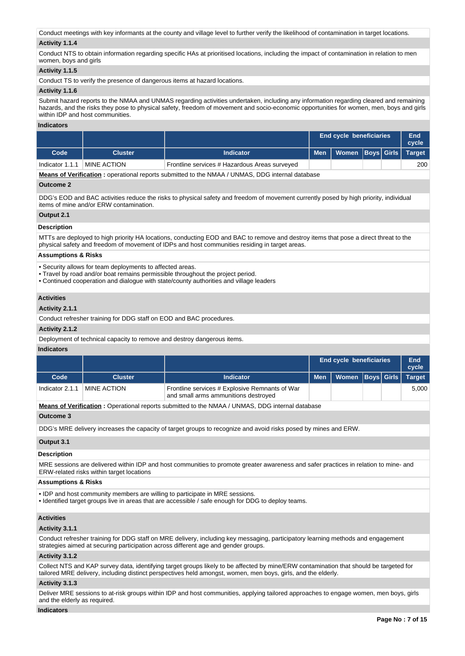Conduct meetings with key informants at the county and village level to further verify the likelihood of contamination in target locations.

## **Activity 1.1.4**

Conduct NTS to obtain information regarding specific HAs at prioritised locations, including the impact of contamination in relation to men women, boys and girls

### **Activity 1.1.5**

Conduct TS to verify the presence of dangerous items at hazard locations.

#### **Activity 1.1.6**

Submit hazard reports to the NMAA and UNMAS regarding activities undertaken, including any information regarding cleared and remaining hazards, and the risks they pose to physical safety, freedom of movement and socio-economic opportunities for women, men, boys and girls within **IDP** and host communities

### **Indicators**

|                 |                    |                                               |  | <b>End cycle beneficiaries</b> |  |  |     |
|-----------------|--------------------|-----------------------------------------------|--|--------------------------------|--|--|-----|
| Code            | Cluster            | <b>Indicator</b>                              |  |                                |  |  |     |
| Indicator 1.1.1 | <b>MINE ACTION</b> | Frontline services # Hazardous Areas surveyed |  |                                |  |  | 200 |

**Means of Verification :** operational reports submitted to the NMAA / UNMAS, DDG internal database

#### **Outcome 2**

DDG's EOD and BAC activities reduce the risks to physical safety and freedom of movement currently posed by high priority, individual items of mine and/or ERW contamination.

## **Output 2.1**

#### **Description**

MTTs are deployed to high priority HA locations, conducting EOD and BAC to remove and destroy items that pose a direct threat to the physical safety and freedom of movement of IDPs and host communities residing in target areas.

## **Assumptions & Risks**

• Security allows for team deployments to affected areas.

- Travel by road and/or boat remains permissible throughout the project period.
- Continued cooperation and dialogue with state/county authorities and village leaders

## **Activities**

## **Activity 2.1.1**

Conduct refresher training for DDG staff on EOD and BAC procedures.

#### **Activity 2.1.2**

Deployment of technical capacity to remove and destroy dangerous items.

## **Indicators**

|                 |                    |                                                                                        | <b>End cycle beneficiaries</b>      |  | End<br>cycle |
|-----------------|--------------------|----------------------------------------------------------------------------------------|-------------------------------------|--|--------------|
| Code            | <b>Cluster</b>     | <b>Indicator</b>                                                                       | Men   Women   Boys   Girls   Target |  |              |
| Indicator 2.1.1 | <b>MINE ACTION</b> | Frontline services # Explosive Remnants of War<br>and small arms ammunitions destroyed |                                     |  | 5.000        |

**Means of Verification :** Operational reports submitted to the NMAA / UNMAS, DDG internal database

#### **Outcome 3**

DDG's MRE delivery increases the capacity of target groups to recognize and avoid risks posed by mines and ERW.

## **Output 3.1**

#### **Description**

MRE sessions are delivered within IDP and host communities to promote greater awareness and safer practices in relation to mine- and ERW-related risks within target locations

## **Assumptions & Risks**

• IDP and host community members are willing to participate in MRE sessions.

• Identified target groups live in areas that are accessible / safe enough for DDG to deploy teams.

## **Activities**

#### **Activity 3.1.1**

Conduct refresher training for DDG staff on MRE delivery, including key messaging, participatory learning methods and engagement strategies aimed at securing participation across different age and gender groups.

#### **Activity 3.1.2**

Collect NTS and KAP survey data, identifying target groups likely to be affected by mine/ERW contamination that should be targeted for tailored MRE delivery, including distinct perspectives held amongst, women, men boys, girls, and the elderly.

## **Activity 3.1.3**

Deliver MRE sessions to at-risk groups within IDP and host communities, applying tailored approaches to engage women, men boys, girls and the elderly as required.

#### **Indicators**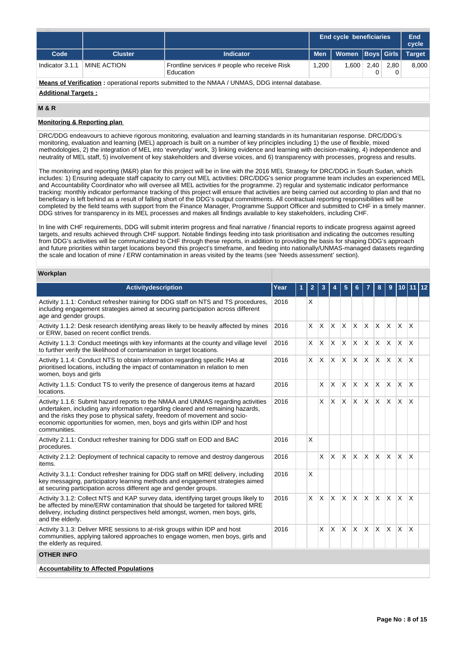|                                                                                                         |                |                                                           |                                   | <b>End cycle beneficiaries</b> |  |  | <b>End</b><br>cycle |  |
|---------------------------------------------------------------------------------------------------------|----------------|-----------------------------------------------------------|-----------------------------------|--------------------------------|--|--|---------------------|--|
| Code                                                                                                    | <b>Cluster</b> | <b>Indicator</b>                                          | <b>Men</b>                        | Women   Boys   Girls           |  |  | <b>Target</b>       |  |
| Indicator 3.1.1                                                                                         | MINE ACTION    | Frontline services # people who receive Risk<br>Education | 1.200<br>  600.  <br>2.40<br>2.80 |                                |  |  | 8,000               |  |
| <b>Means of Verification:</b> operational reports submitted to the NMAA / UNMAS, DDG internal database. |                |                                                           |                                   |                                |  |  |                     |  |

#### **Additional Targets :**

## **M & R**

## **Monitoring & Reporting plan**

DRC/DDG endeavours to achieve rigorous monitoring, evaluation and learning standards in its humanitarian response. DRC/DDG's monitoring, evaluation and learning (MEL) approach is built on a number of key principles including 1) the use of flexible, mixed methodologies, 2) the integration of MEL into 'everyday' work, 3) linking evidence and learning with decision-making, 4) independence and neutrality of MEL staff, 5) involvement of key stakeholders and diverse voices, and 6) transparency with processes, progress and results.

The monitoring and reporting (M&R) plan for this project will be in line with the 2016 MEL Strategy for DRC/DDG in South Sudan, which includes: 1) Ensuring adequate staff capacity to carry out MEL activities: DRC/DDG's senior programme team includes an experienced MEL and Accountability Coordinator who will oversee all MEL activities for the programme. 2) regular and systematic indicator performance tracking: monthly indicator performance tracking of this project will ensure that activities are being carried out according to plan and that no beneficiary is left behind as a result of falling short of the DDG's output commitments. All contractual reporting responsibilities will be completed by the field teams with support from the Finance Manager, Programme Support Officer and submitted to CHF in a timely manner. DDG strives for transparency in its MEL processes and makes all findings available to key stakeholders, including CHF.

In line with CHF requirements, DDG will submit interim progress and final narrative / financial reports to indicate progress against agreed targets, and results achieved through CHF support. Notable findings feeding into task prioritisation and indicating the outcomes resulting from DDG's activities will be communicated to CHF through these reports, in addition to providing the basis for shaping DDG's approach and future priorities within target locations beyond this project's timeframe, and feeding into nationally/UNMAS-managed datasets regarding the scale and location of mine / ERW contamination in areas visited by the teams (see 'Needs assessment' section).

#### **Workplan**

| <b>Activitydescription</b>                                                                                                                                                                                                                                                                                                                    | Year | 1 | $\overline{2}$ | 3        |              | 5            | 6            |              | 8                       | 9            | 10           | <u> 11</u>              | 12 |
|-----------------------------------------------------------------------------------------------------------------------------------------------------------------------------------------------------------------------------------------------------------------------------------------------------------------------------------------------|------|---|----------------|----------|--------------|--------------|--------------|--------------|-------------------------|--------------|--------------|-------------------------|----|
| Activity 1.1.1: Conduct refresher training for DDG staff on NTS and TS procedures,<br>including engagement strategies aimed at securing participation across different<br>age and gender groups.                                                                                                                                              | 2016 |   | X              |          |              |              |              |              |                         |              |              |                         |    |
| Activity 1.1.2: Desk research identifying areas likely to be heavily affected by mines<br>or ERW, based on recent conflict trends.                                                                                                                                                                                                            | 2016 |   | X              | X        | <b>X</b>     | IX.          | $\mathsf{x}$ | $\mathsf{x}$ | <sup>X</sup>            | $\mathsf{X}$ | $\mathsf{x}$ | X                       |    |
| Activity 1.1.3: Conduct meetings with key informants at the county and village level<br>to further verify the likelihood of contamination in target locations.                                                                                                                                                                                | 2016 |   | $\times$       | X.       | IX.          | <b>X</b>     | X            | IX.          | X.                      | X.           | $\times$     | X                       |    |
| Activity 1.1.4: Conduct NTS to obtain information regarding specific HAs at<br>prioritised locations, including the impact of contamination in relation to men<br>women, boys and girls                                                                                                                                                       | 2016 |   | X              | <b>X</b> | ΙX.          | ΙX.          | $\times$     | IX.          | lx.                     | $\mathsf{X}$ | <b>X</b>     | X                       |    |
| Activity 1.1.5: Conduct TS to verify the presence of dangerous items at hazard<br>locations.                                                                                                                                                                                                                                                  | 2016 |   |                | X        | X            | X            | $\times$     | X            | $\overline{\mathsf{x}}$ | <b>X</b>     | X            | X                       |    |
| Activity 1.1.6: Submit hazard reports to the NMAA and UNMAS regarding activities<br>undertaken, including any information regarding cleared and remaining hazards,<br>and the risks they pose to physical safety, freedom of movement and socio-<br>economic opportunities for women, men, boys and girls within IDP and host<br>communities. | 2016 |   |                | $\times$ | $\mathsf{X}$ | $\mathsf{X}$ | <b>X</b>     | ΙX.          | $\mathsf{X}$            | $\mathsf{X}$ | <b>X</b>     | $\overline{\mathsf{x}}$ |    |
| Activity 2.1.1: Conduct refresher training for DDG staff on EOD and BAC<br>procedures.                                                                                                                                                                                                                                                        | 2016 |   | X              |          |              |              |              |              |                         |              |              |                         |    |
| Activity 2.1.2: Deployment of technical capacity to remove and destroy dangerous<br>items.                                                                                                                                                                                                                                                    | 2016 |   |                | X        | ΙX.          | ΙX.          | IX.          | <sup>X</sup> | <sup>X</sup>            | <b>X</b>     | $\mathsf{x}$ | X                       |    |
| Activity 3.1.1: Conduct refresher training for DDG staff on MRE delivery, including<br>key messaging, participatory learning methods and engagement strategies aimed<br>at securing participation across different age and gender groups.                                                                                                     | 2016 |   | X              |          |              |              |              |              |                         |              |              |                         |    |
| Activity 3.1.2: Collect NTS and KAP survey data, identifying target groups likely to<br>be affected by mine/ERW contamination that should be targeted for tailored MRE<br>delivery, including distinct perspectives held amongst, women, men boys, girls,<br>and the elderly.                                                                 | 2016 |   | X              | X        | $\mathsf{X}$ | $\mathsf{x}$ | $\mathsf{x}$ | X            | X                       | $\mathsf{x}$ | $\mathsf{x}$ | $\times$                |    |
| Activity 3.1.3: Deliver MRE sessions to at-risk groups within IDP and host<br>communities, applying tailored approaches to engage women, men boys, girls and<br>the elderly as required.                                                                                                                                                      | 2016 |   |                | X        | <sup>X</sup> | X            | $\mathsf{x}$ | X            | X                       | $\mathsf{x}$ | X            | $\overline{\mathsf{x}}$ |    |
| <b>OTHER INFO</b>                                                                                                                                                                                                                                                                                                                             |      |   |                |          |              |              |              |              |                         |              |              |                         |    |
| <b>Accountability to Affected Populations</b>                                                                                                                                                                                                                                                                                                 |      |   |                |          |              |              |              |              |                         |              |              |                         |    |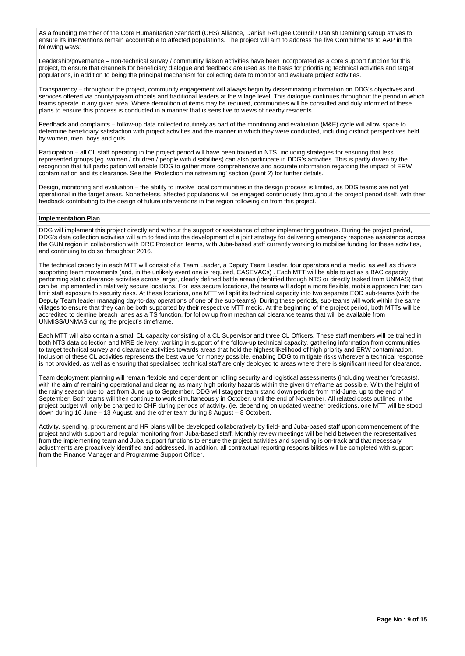As a founding member of the Core Humanitarian Standard (CHS) Alliance, Danish Refugee Council / Danish Demining Group strives to ensure its interventions remain accountable to affected populations. The project will aim to address the five Commitments to AAP in the following ways:

Leadership/governance – non-technical survey / community liaison activities have been incorporated as a core support function for this project, to ensure that channels for beneficiary dialogue and feedback are used as the basis for prioritising technical activities and target populations, in addition to being the principal mechanism for collecting data to monitor and evaluate project activities.

Transparency – throughout the project, community engagement will always begin by disseminating information on DDG's objectives and services offered via county/payam officials and traditional leaders at the village level. This dialogue continues throughout the period in which teams operate in any given area. Where demolition of items may be required, communities will be consulted and duly informed of these plans to ensure this process is conducted in a manner that is sensitive to views of nearby residents.

Feedback and complaints – follow-up data collected routinely as part of the monitoring and evaluation (M&E) cycle will allow space to determine beneficiary satisfaction with project activities and the manner in which they were conducted, including distinct perspectives held by women, men, boys and girls.

Participation – all CL staff operating in the project period will have been trained in NTS, including strategies for ensuring that less represented groups (eg. women / children / people with disabilities) can also participate in DDG's activities. This is partly driven by the recognition that full participation will enable DDG to gather more comprehensive and accurate information regarding the impact of ERW contamination and its clearance. See the 'Protection mainstreaming' section (point 2) for further details.

Design, monitoring and evaluation – the ability to involve local communities in the design process is limited, as DDG teams are not yet operational in the target areas. Nonetheless, affected populations will be engaged continuously throughout the project period itself, with their feedback contributing to the design of future interventions in the region following on from this project.

#### **Implementation Plan**

DDG will implement this project directly and without the support or assistance of other implementing partners. During the project period, DDG's data collection activities will aim to feed into the development of a joint strategy for delivering emergency response assistance across the GUN region in collaboration with DRC Protection teams, with Juba-based staff currently working to mobilise funding for these activities, and continuing to do so throughout 2016.

The technical capacity in each MTT will consist of a Team Leader, a Deputy Team Leader, four operators and a medic, as well as drivers supporting team movements (and, in the unlikely event one is required, CASEVACs) . Each MTT will be able to act as a BAC capacity, performing static clearance activities across larger, clearly defined battle areas (identified through NTS or directly tasked from UNMAS) that can be implemented in relatively secure locations. For less secure locations, the teams will adopt a more flexible, mobile approach that can limit staff exposure to security risks. At these locations, one MTT will split its technical capacity into two separate EOD sub-teams (with the Deputy Team leader managing day-to-day operations of one of the sub-teams). During these periods, sub-teams will work within the same villages to ensure that they can be both supported by their respective MTT medic. At the beginning of the project period, both MTTs will be accredited to demine breach lanes as a TS function, for follow up from mechanical clearance teams that will be available from UNMISS/UNMAS during the project's timeframe.

Each MTT will also contain a small CL capacity consisting of a CL Supervisor and three CL Officers. These staff members will be trained in both NTS data collection and MRE delivery, working in support of the follow-up technical capacity, gathering information from communities to target technical survey and clearance activities towards areas that hold the highest likelihood of high priority and ERW contamination. Inclusion of these CL activities represents the best value for money possible, enabling DDG to mitigate risks wherever a technical response is not provided, as well as ensuring that specialised technical staff are only deployed to areas where there is significant need for clearance.

Team deployment planning will remain flexible and dependent on rolling security and logistical assessments (including weather forecasts), with the aim of remaining operational and clearing as many high priority hazards within the given timeframe as possible. With the height of the rainy season due to last from June up to September, DDG will stagger team stand down periods from mid-June, up to the end of September. Both teams will then continue to work simultaneously in October, until the end of November. All related costs outlined in the project budget will only be charged to CHF during periods of activity, (ie. depending on updated weather predictions, one MTT will be stood down during 16 June – 13 August, and the other team during 8 August – 8 October).

Activity, spending, procurement and HR plans will be developed collaboratively by field- and Juba-based staff upon commencement of the project and with support and regular monitoring from Juba-based staff. Monthly review meetings will be held between the representatives from the implementing team and Juba support functions to ensure the project activities and spending is on-track and that necessary adjustments are proactively identified and addressed. In addition, all contractual reporting responsibilities will be completed with support from the Finance Manager and Programme Support Officer.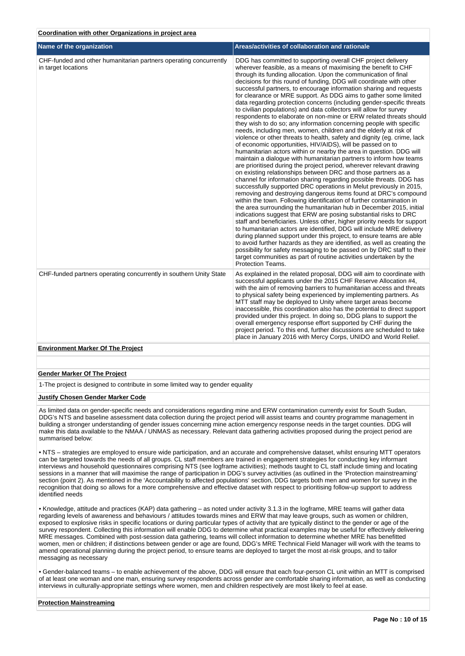#### **Coordination with other Organizations in project area**

| Name of the organization                                                                 | Areas/activities of collaboration and rationale                                                                                                                                                                                                                                                                                                                                                                                                                                                                                                                                                                                                                                                                                                                                                                                                                                                                                                                                                                                                                                                                                                                                                                                                                                                                                                                                                                                                                                                                                                                                                                                                                                                                                                                                                                                                                                                                                                                                                                                                                                                                                           |
|------------------------------------------------------------------------------------------|-------------------------------------------------------------------------------------------------------------------------------------------------------------------------------------------------------------------------------------------------------------------------------------------------------------------------------------------------------------------------------------------------------------------------------------------------------------------------------------------------------------------------------------------------------------------------------------------------------------------------------------------------------------------------------------------------------------------------------------------------------------------------------------------------------------------------------------------------------------------------------------------------------------------------------------------------------------------------------------------------------------------------------------------------------------------------------------------------------------------------------------------------------------------------------------------------------------------------------------------------------------------------------------------------------------------------------------------------------------------------------------------------------------------------------------------------------------------------------------------------------------------------------------------------------------------------------------------------------------------------------------------------------------------------------------------------------------------------------------------------------------------------------------------------------------------------------------------------------------------------------------------------------------------------------------------------------------------------------------------------------------------------------------------------------------------------------------------------------------------------------------------|
| CHF-funded and other humanitarian partners operating concurrently<br>in target locations | DDG has committed to supporting overall CHF project delivery<br>wherever feasible, as a means of maximising the benefit to CHF<br>through its funding allocation. Upon the communication of final<br>decisions for this round of funding, DDG will coordinate with other<br>successful partners, to encourage information sharing and requests<br>for clearance or MRE support. As DDG aims to gather some limited<br>data regarding protection concerns (including gender-specific threats<br>to civilian populations) and data collectors will allow for survey<br>respondents to elaborate on non-mine or ERW related threats should<br>they wish to do so; any information concerning people with specific<br>needs, including men, women, children and the elderly at risk of<br>violence or other threats to health, safety and dignity (eg. crime, lack<br>of economic opportunities, HIV/AIDS), will be passed on to<br>humanitarian actors within or nearby the area in question. DDG will<br>maintain a dialogue with humanitarian partners to inform how teams<br>are prioritised during the project period, wherever relevant drawing<br>on existing relationships between DRC and those partners as a<br>channel for information sharing regarding possible threats. DDG has<br>successfully supported DRC operations in Melut previously in 2015,<br>removing and destroying dangerous items found at DRC's compound<br>within the town. Following identification of further contamination in<br>the area surrounding the humanitarian hub in December 2015, initial<br>indications suggest that ERW are posing substantial risks to DRC<br>staff and beneficiaries. Unless other, higher priority needs for support<br>to humanitarian actors are identified, DDG will include MRE delivery<br>during planned support under this project, to ensure teams are able<br>to avoid further hazards as they are identified, as well as creating the<br>possibility for safety messaging to be passed on by DRC staff to their<br>target communities as part of routine activities undertaken by the<br><b>Protection Teams.</b> |
| CHF-funded partners operating concurrently in southern Unity State                       | As explained in the related proposal, DDG will aim to coordinate with<br>successful applicants under the 2015 CHF Reserve Allocation #4,<br>with the aim of removing barriers to humanitarian access and threats<br>to physical safety being experienced by implementing partners. As<br>MTT staff may be deployed to Unity where target areas become<br>inaccessible, this coordination also has the potential to direct support<br>provided under this project. In doing so, DDG plans to support the<br>overall emergency response effort supported by CHF during the<br>project period. To this end, further discussions are scheduled to take<br>place in January 2016 with Mercy Corps, UNIDO and World Relief.                                                                                                                                                                                                                                                                                                                                                                                                                                                                                                                                                                                                                                                                                                                                                                                                                                                                                                                                                                                                                                                                                                                                                                                                                                                                                                                                                                                                                     |
| <b>Environment Marker Of The Project</b>                                                 |                                                                                                                                                                                                                                                                                                                                                                                                                                                                                                                                                                                                                                                                                                                                                                                                                                                                                                                                                                                                                                                                                                                                                                                                                                                                                                                                                                                                                                                                                                                                                                                                                                                                                                                                                                                                                                                                                                                                                                                                                                                                                                                                           |

#### **Gender Marker Of The Project**

1-The project is designed to contribute in some limited way to gender equality

#### **Justify Chosen Gender Marker Code**

As limited data on gender-specific needs and considerations regarding mine and ERW contamination currently exist for South Sudan, DDG's NTS and baseline assessment data collection during the project period will assist teams and country programme management in building a stronger understanding of gender issues concerning mine action emergency response needs in the target counties. DDG will make this data available to the NMAA / UNMAS as necessary. Relevant data gathering activities proposed during the project period are summarised below:

• NTS – strategies are employed to ensure wide participation, and an accurate and comprehensive dataset, whilst ensuring MTT operators can be targeted towards the needs of all groups. CL staff members are trained in engagement strategies for conducting key informant interviews and household questionnaires comprising NTS (see logframe activities); methods taught to CL staff include timing and locating sessions in a manner that will maximise the range of participation in DDG's survey activities (as outlined in the 'Protection mainstreaming' section (point 2). As mentioned in the 'Accountability to affected populations' section, DDG targets both men and women for survey in the recognition that doing so allows for a more comprehensive and effective dataset with respect to prioritising follow-up support to address identified needs

• Knowledge, attitude and practices (KAP) data gathering – as noted under activity 3.1.3 in the logframe, MRE teams will gather data regarding levels of awareness and behaviours / attitudes towards mines and ERW that may leave groups, such as women or children, exposed to explosive risks in specific locations or during particular types of activity that are typically distinct to the gender or age of the survey respondent. Collecting this information will enable DDG to determine what practical examples may be useful for effectively delivering MRE messages. Combined with post-session data gathering, teams will collect information to determine whether MRE has benefitted women, men or children; if distinctions between gender or age are found, DDG's MRE Technical Field Manager will work with the teams to amend operational planning during the project period, to ensure teams are deployed to target the most at-risk groups, and to tailor messaging as necessary

• Gender-balanced teams – to enable achievement of the above, DDG will ensure that each four-person CL unit within an MTT is comprised of at least one woman and one man, ensuring survey respondents across gender are comfortable sharing information, as well as conducting interviews in culturally-appropriate settings where women, men and children respectively are most likely to feel at ease.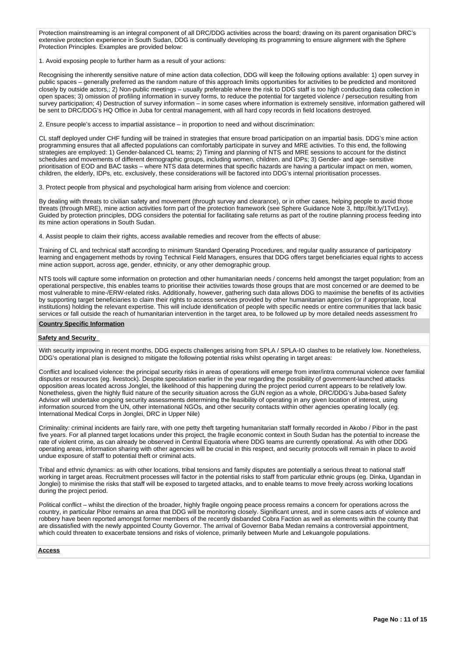Protection mainstreaming is an integral component of all DRC/DDG activities across the board; drawing on its parent organisation DRC's extensive protection experience in South Sudan, DDG is continually developing its programming to ensure alignment with the Sphere Protection Principles. Examples are provided below:

1. Avoid exposing people to further harm as a result of your actions:

Recognising the inherently sensitive nature of mine action data collection, DDG will keep the following options available: 1) open survey in public spaces – generally preferred as the random nature of this approach limits opportunities for activities to be predicted and monitored closely by outside actors,; 2) Non-public meetings – usually preferable where the risk to DDG staff is too high conducting data collection in open spaces; 3) omission of profiling information in survey forms, to reduce the potential for targeted violence / persecution resulting from survey participation; 4) Destruction of survey information – in some cases where information is extremely sensitive, information gathered will be sent to DRC/DDG's HQ Office in Juba for central management, with all hard copy records in field locations destroyed.

2. Ensure people's access to impartial assistance – in proportion to need and without discrimination:

CL staff deployed under CHF funding will be trained in strategies that ensure broad participation on an impartial basis. DDG's mine action programming ensures that all affected populations can comfortably participate in survey and MRE activities. To this end, the following strategies are employed: 1) Gender-balanced CL teams; 2) Timing and planning of NTS and MRE sessions to account for the distinct schedules and movements of different demographic groups, including women, children, and IDPs; 3) Gender- and age- sensitive prioritisation of EOD and BAC tasks – where NTS data determines that specific hazards are having a particular impact on men, women, children, the elderly, IDPs, etc. exclusively, these considerations will be factored into DDG's internal prioritisation processes.

3. Protect people from physical and psychological harm arising from violence and coercion:

By dealing with threats to civilian safety and movement (through survey and clearance), or in other cases, helping people to avoid those threats (through MRE), mine action activities form part of the protection framework (see Sphere Guidance Note 3, http://bit.ly/1Tvt1xy). Guided by protection principles, DDG considers the potential for facilitating safe returns as part of the routine planning process feeding into its mine action operations in South Sudan.

4. Assist people to claim their rights, access available remedies and recover from the effects of abuse:

Training of CL and technical staff according to minimum Standard Operating Procedures, and regular quality assurance of participatory learning and engagement methods by roving Technical Field Managers, ensures that DDG offers target beneficiaries equal rights to access mine action support, across age, gender, ethnicity, or any other demographic group.

NTS tools will capture some information on protection and other humanitarian needs / concerns held amongst the target population; from an operational perspective, this enables teams to prioritise their activities towards those groups that are most concerned or are deemed to be most vulnerable to mine-/ERW-related risks. Additionally, however, gathering such data allows DDG to maximise the benefits of its activities by supporting target beneficiaries to claim their rights to access services provided by other humanitarian agencies (or if appropriate, local institutions) holding the relevant expertise. This will include identification of people with specific needs or entire communities that lack basic services or fall outside the reach of humanitarian intervention in the target area, to be followed up by more detailed needs assessment fro

## **Country Specific Information**

#### **Safety and Security**

With security improving in recent months, DDG expects challenges arising from SPLA / SPLA-IO clashes to be relatively low. Nonetheless, DDG's operational plan is designed to mitigate the following potential risks whilst operating in target areas:

Conflict and localised violence: the principal security risks in areas of operations will emerge from inter/intra communal violence over familial disputes or resources (eg. livestock). Despite speculation earlier in the year regarding the possibility of government-launched attacks opposition areas located across Jonglei, the likelihood of this happening during the project period current appears to be relatively low. Nonetheless, given the highly fluid nature of the security situation across the GUN region as a whole, DRC/DDG's Juba-based Safety Advisor will undertake ongoing security assessments determining the feasibility of operating in any given location of interest, using information sourced from the UN, other international NGOs, and other security contacts within other agencies operating locally (eg. International Medical Corps in Jonglei, DRC in Upper Nile)

Criminality: criminal incidents are fairly rare, with one petty theft targeting humanitarian staff formally recorded in Akobo / Pibor in the past five years. For all planned target locations under this project, the fragile economic context in South Sudan has the potential to increase the rate of violent crime, as can already be observed in Central Equatoria where DDG teams are currently operational. As with other DDG operating areas, information sharing with other agencies will be crucial in this respect, and security protocols will remain in place to avoid undue exposure of staff to potential theft or criminal acts.

Tribal and ethnic dynamics: as with other locations, tribal tensions and family disputes are potentially a serious threat to national staff working in target areas. Recruitment processes will factor in the potential risks to staff from particular ethnic groups (eg. Dinka, Ugandan in Jonglei) to minimise the risks that staff will be exposed to targeted attacks, and to enable teams to move freely across working locations during the project period.

Political conflict – whilst the direction of the broader, highly fragile ongoing peace process remains a concern for operations across the country, in particular Pibor remains an area that DDG will be monitoring closely. Significant unrest, and in some cases acts of violence and robbery have been reported amongst former members of the recently disbanded Cobra Faction as well as elements within the county that are dissatisfied with the newly appointed County Governor. The arrival of Governor Baba Medan remains a controversial appointment, which could threaten to exacerbate tensions and risks of violence, primarily between Murle and Lekuangole populations.

#### **Access**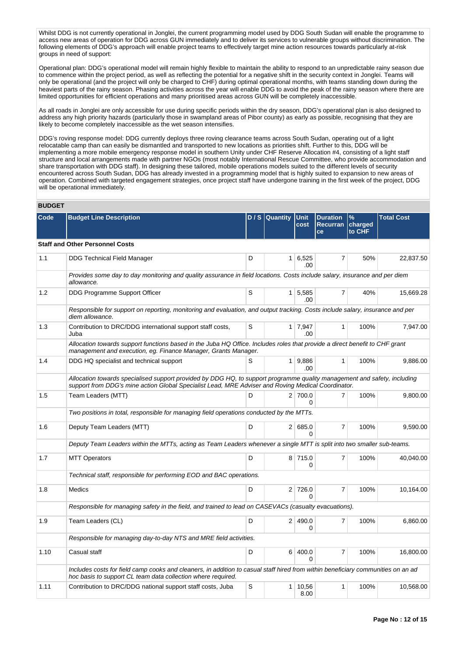Whilst DDG is not currently operational in Jonglei, the current programming model used by DDG South Sudan will enable the programme to access new areas of operation for DDG across GUN immediately and to deliver its services to vulnerable groups without discrimination. The following elements of DDG's approach will enable project teams to effectively target mine action resources towards particularly at-risk groups in need of support:

Operational plan: DDG's operational model will remain highly flexible to maintain the ability to respond to an unpredictable rainy season due to commence within the project period, as well as reflecting the potential for a negative shift in the security context in Jonglei. Teams will only be operational (and the project will only be charged to CHF) during optimal operational months, with teams standing down during the heaviest parts of the rainy season. Phasing activities across the year will enable DDG to avoid the peak of the rainy season where there are limited opportunities for efficient operations and many prioritised areas across GUN will be completely inaccessible.

As all roads in Jonglei are only accessible for use during specific periods within the dry season, DDG's operational plan is also designed to address any high priority hazards (particularly those in swampland areas of Pibor county) as early as possible, recognising that they are likely to become completely inaccessible as the wet season intensifies.

DDG's roving response model: DDG currently deploys three roving clearance teams across South Sudan, operating out of a light relocatable camp than can easily be dismantled and transported to new locations as priorities shift. Further to this, DDG will be implementing a more mobile emergency response model in southern Unity under CHF Reserve Allocation #4, consisting of a light staff structure and local arrangements made with partner NGOs (most notably International Rescue Committee, who provide accommodation and share transportation with DDG staff). In designing these tailored, mobile operations models suited to the different levels of security encountered across South Sudan, DDG has already invested in a programming model that is highly suited to expansion to new areas of operation. Combined with targeted engagement strategies, once project staff have undergone training in the first week of the project, DDG will be operational immediately.

## **BUDGET**

| Code | <b>Budget Line Description</b>                                                                                                                                                                                                 |   | D / S   Quantity | <b>Unit</b><br>cost   | <b>Duration</b><br>Recurran charged<br><b>ce</b> | %<br>to CHF | <b>Total Cost</b> |
|------|--------------------------------------------------------------------------------------------------------------------------------------------------------------------------------------------------------------------------------|---|------------------|-----------------------|--------------------------------------------------|-------------|-------------------|
|      | <b>Staff and Other Personnel Costs</b>                                                                                                                                                                                         |   |                  |                       |                                                  |             |                   |
| 1.1  | <b>DDG Technical Field Manager</b>                                                                                                                                                                                             | D | 1 <sup>1</sup>   | 6,525<br>.00          | 7                                                | 50%         | 22,837.50         |
|      | Provides some day to day monitoring and quality assurance in field locations. Costs include salary, insurance and per diem<br>allowance.                                                                                       |   |                  |                       |                                                  |             |                   |
| 1.2  | DDG Programme Support Officer                                                                                                                                                                                                  | S |                  | $1 \mid 5,585$<br>.00 | $\overline{7}$                                   | 40%         | 15,669.28         |
|      | Responsible for support on reporting, monitoring and evaluation, and output tracking. Costs include salary, insurance and per<br>diem allowance.                                                                               |   |                  |                       |                                                  |             |                   |
| 1.3  | Contribution to DRC/DDG international support staff costs,<br>Juba                                                                                                                                                             | S |                  | 1 7,947<br>.00.       | $\mathbf{1}$                                     | 100%        | 7,947.00          |
|      | Allocation towards support functions based in the Juba HQ Office. Includes roles that provide a direct benefit to CHF grant<br>management and execution, eg. Finance Manager, Grants Manager.                                  |   |                  |                       |                                                  |             |                   |
| 1.4  | DDG HQ specialist and technical support                                                                                                                                                                                        | S |                  | 1   9,886<br>.00.     | $\mathbf{1}$                                     | 100%        | 9,886.00          |
|      | Allocation towards specialised support provided by DDG HQ, to support programme quality management and safety, including<br>support from DDG's mine action Global Specialist Lead, MRE Adviser and Roving Medical Coordinator. |   |                  |                       |                                                  |             |                   |
| 1.5  | Team Leaders (MTT)                                                                                                                                                                                                             | D |                  | 2 700.0<br>$\Omega$   | $\overline{7}$                                   | 100%        | 9,800.00          |
|      | Two positions in total, responsible for managing field operations conducted by the MTTs.                                                                                                                                       |   |                  |                       |                                                  |             |                   |
| 1.6  | Deputy Team Leaders (MTT)                                                                                                                                                                                                      | D |                  | 2 685.0<br>$\Omega$   | $\overline{7}$                                   | 100%        | 9,590.00          |
|      | Deputy Team Leaders within the MTTs, acting as Team Leaders whenever a single MTT is split into two smaller sub-teams.                                                                                                         |   |                  |                       |                                                  |             |                   |
| 1.7  | <b>MTT Operators</b>                                                                                                                                                                                                           | D |                  | 8 715.0<br>0          | $\overline{7}$                                   | 100%        | 40,040.00         |
|      | Technical staff, responsible for performing EOD and BAC operations.                                                                                                                                                            |   |                  |                       |                                                  |             |                   |
| 1.8  | <b>Medics</b>                                                                                                                                                                                                                  | D |                  | 2 726.0<br>$\Omega$   | $\overline{7}$                                   | 100%        | 10,164.00         |
|      | Responsible for managing safety in the field, and trained to lead on CASEVACs (casualty evacuations).                                                                                                                          |   |                  |                       |                                                  |             |                   |
| 1.9  | Team Leaders (CL)                                                                                                                                                                                                              | D |                  | 2 490.0<br>0          | $\overline{7}$                                   | 100%        | 6,860.00          |
|      | Responsible for managing day-to-day NTS and MRE field activities.                                                                                                                                                              |   |                  |                       |                                                  |             |                   |
| 1.10 | Casual staff                                                                                                                                                                                                                   | D | 6                | 400.0<br>∩            | $\overline{7}$                                   | 100%        | 16,800.00         |
|      | Includes costs for field camp cooks and cleaners, in addition to casual staff hired from within beneficiary communities on an ad<br>hoc basis to support CL team data collection where required.                               |   |                  |                       |                                                  |             |                   |
| 1.11 | Contribution to DRC/DDG national support staff costs, Juba                                                                                                                                                                     | S | $\mathbf{1}$     | 10,56<br>8.00         | $\mathbf{1}$                                     | 100%        | 10,568.00         |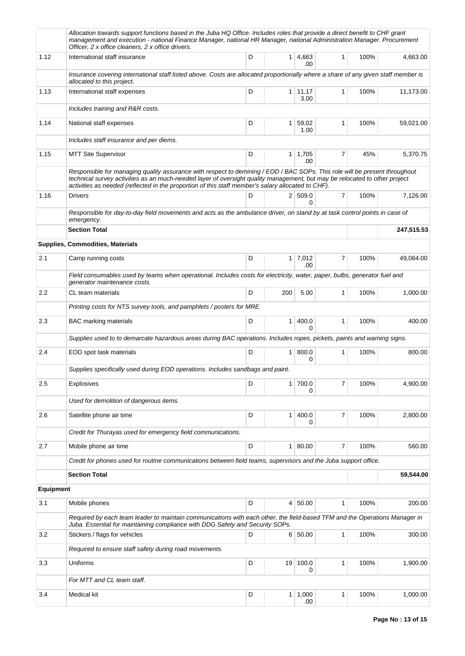|                  | Allocation towards support functions based in the Juba HQ Office. Includes roles that provide a direct benefit to CHF grant<br>management and execution - national Finance Manager, national HR Manager, national Administration Manager. Procurement<br>Officer, 2 x office cleaners, 2 x office drivers.                                                     |   |                 |                        |              |      |            |
|------------------|----------------------------------------------------------------------------------------------------------------------------------------------------------------------------------------------------------------------------------------------------------------------------------------------------------------------------------------------------------------|---|-----------------|------------------------|--------------|------|------------|
| 1.12             | International staff insurance                                                                                                                                                                                                                                                                                                                                  | D |                 | 1 4,663<br>.00         | 1            | 100% | 4,663.00   |
|                  | Insurance covering international staff listed above. Costs are allocated proportionally where a share of any given staff member is<br>allocated to this project.                                                                                                                                                                                               |   |                 |                        |              |      |            |
| 1.13             | International staff expenses                                                                                                                                                                                                                                                                                                                                   | D |                 | $1 \mid 11,17$<br>3.00 | 1            | 100% | 11,173.00  |
|                  | Includes training and R&R costs.                                                                                                                                                                                                                                                                                                                               |   |                 |                        |              |      |            |
| 1.14             | National staff expenses                                                                                                                                                                                                                                                                                                                                        | D | 1 <sup>1</sup>  | 59,02<br>1.00          | 1            | 100% | 59,021.00  |
|                  | Includes staff insurance and per diems.                                                                                                                                                                                                                                                                                                                        |   |                 |                        |              |      |            |
| 1.15             | <b>MTT Site Supervisor</b>                                                                                                                                                                                                                                                                                                                                     | D |                 | $1 \mid 1,705$<br>.00  | 7            | 45%  | 5,370.75   |
|                  | Responsible for managing quality assurance with respect to demining / EOD / BAC SOPs. This role will be present throughout<br>technical survey activities as an much-needed layer of oversight quality management, but may be relocated to other project<br>activities as needed (reflected in the proportion of this staff member's salary allocated to CHF). |   |                 |                        |              |      |            |
| 1.16             | <b>Drivers</b>                                                                                                                                                                                                                                                                                                                                                 | D |                 | 2 509.0<br>0           | 7            | 100% | 7,126.00   |
|                  | Responsible for day-to-day field movements and acts as the ambulance driver, on stand by at task control points in case of<br>emergency.                                                                                                                                                                                                                       |   |                 |                        |              |      |            |
|                  | <b>Section Total</b>                                                                                                                                                                                                                                                                                                                                           |   |                 |                        |              |      | 247,515.53 |
|                  | Supplies, Commodities, Materials                                                                                                                                                                                                                                                                                                                               |   |                 |                        |              |      |            |
| 2.1              | Camp running costs                                                                                                                                                                                                                                                                                                                                             | D |                 | $1 \mid 7,012$<br>.00  | 7            | 100% | 49,084.00  |
|                  | Field consumables used by teams when operational. Includes costs for electricity, water, paper, bulbs, generator fuel and<br>generator maintenance costs.                                                                                                                                                                                                      |   |                 |                        |              |      |            |
| 2.2              | CL team materials                                                                                                                                                                                                                                                                                                                                              | D | 200             | 5.00                   | 1            | 100% | 1,000.00   |
|                  | Printing costs for NTS survey tools, and pamphlets / posters for MRE.                                                                                                                                                                                                                                                                                          |   |                 |                        |              |      |            |
| 2.3              | <b>BAC</b> marking materials                                                                                                                                                                                                                                                                                                                                   | D | 1 <sup>1</sup>  | 400.0<br>0             | $\mathbf{1}$ | 100% | 400.00     |
|                  | Supplies used to to demarcate hazardous areas during BAC operations. Includes ropes, pickets, paints and warning signs.                                                                                                                                                                                                                                        |   |                 |                        |              |      |            |
| 2.4              | EOD spot task materials                                                                                                                                                                                                                                                                                                                                        | D | 1 <sup>1</sup>  | 800.0<br>0             | 1            | 100% | 800.00     |
|                  | Supplies specifically used during EOD operations. Includes sandbags and paint.                                                                                                                                                                                                                                                                                 |   |                 |                        |              |      |            |
| 2.5              | <b>Explosives</b>                                                                                                                                                                                                                                                                                                                                              | D | 1 <sup>1</sup>  | 700.0<br>0             | 7            | 100% | 4,900.00   |
|                  | Used for demolition of dangerous items.                                                                                                                                                                                                                                                                                                                        |   |                 |                        |              |      |            |
| 2.6              | Satellite phone air time                                                                                                                                                                                                                                                                                                                                       | D | 1 <sup>1</sup>  | 400.0<br>0             | 7            | 100% | 2,800.00   |
|                  | Credit for Thurayas used for emergency field communications.                                                                                                                                                                                                                                                                                                   |   |                 |                        |              |      |            |
| 2.7              | Mobile phone air time                                                                                                                                                                                                                                                                                                                                          | D | 1 <sup>1</sup>  | 80.00                  | 7            | 100% | 560.00     |
|                  | Credit for phones used for routine communications between field teams, supervisors and the Juba support office.                                                                                                                                                                                                                                                |   |                 |                        |              |      |            |
|                  | <b>Section Total</b>                                                                                                                                                                                                                                                                                                                                           |   |                 |                        |              |      | 59,544.00  |
| <b>Equipment</b> |                                                                                                                                                                                                                                                                                                                                                                |   |                 |                        |              |      |            |
| 3.1              | Mobile phones                                                                                                                                                                                                                                                                                                                                                  | D | $\vert 4 \vert$ | 50.00                  | $\mathbf{1}$ | 100% | 200.00     |
|                  | Required by each team leader to maintain communications with each other, the field-based TFM and the Operations Manager in<br>Juba. Essential for maintaining compliance with DDG Safety and Security SOPs.                                                                                                                                                    |   |                 |                        |              |      |            |
| 3.2              | Stickers / flags for vehicles                                                                                                                                                                                                                                                                                                                                  | D |                 | 6 50.00                | 1            | 100% | 300.00     |
|                  | Required to ensure staff safety during road movements.                                                                                                                                                                                                                                                                                                         |   |                 |                        |              |      |            |
| 3.3              | Uniforms                                                                                                                                                                                                                                                                                                                                                       | D | 19              | 100.0<br>0             | 1            | 100% | 1,900.00   |
|                  | For MTT and CL team staff.                                                                                                                                                                                                                                                                                                                                     |   |                 |                        |              |      |            |
| 3.4              | Medical kit                                                                                                                                                                                                                                                                                                                                                    | D |                 | $1 \mid 1,000$<br>.00  | 1            | 100% | 1,000.00   |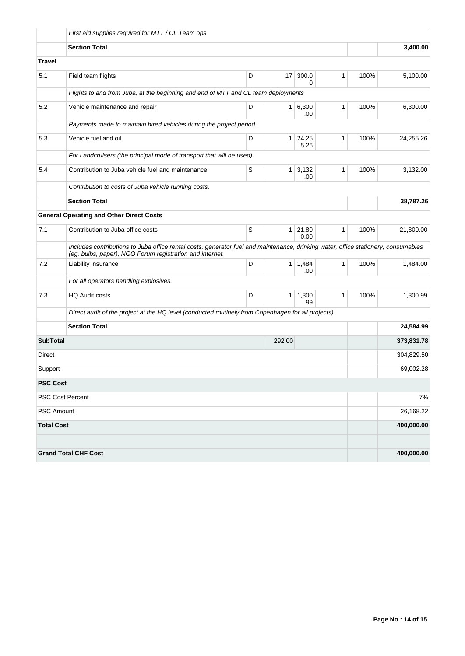|                   | First aid supplies required for MTT / CL Team ops                                                  |                                                                                                                                    |                 |                       |              |      |            |  |  |  |  |
|-------------------|----------------------------------------------------------------------------------------------------|------------------------------------------------------------------------------------------------------------------------------------|-----------------|-----------------------|--------------|------|------------|--|--|--|--|
|                   | <b>Section Total</b>                                                                               |                                                                                                                                    | 3,400.00        |                       |              |      |            |  |  |  |  |
| <b>Travel</b>     |                                                                                                    |                                                                                                                                    |                 |                       |              |      |            |  |  |  |  |
| 5.1               | Field team flights                                                                                 | D                                                                                                                                  | 17 <sup>1</sup> | 300.0<br>0            | $\mathbf{1}$ | 100% | 5,100.00   |  |  |  |  |
|                   | Flights to and from Juba, at the beginning and end of MTT and CL team deployments                  |                                                                                                                                    |                 |                       |              |      |            |  |  |  |  |
| 5.2               | Vehicle maintenance and repair                                                                     | D                                                                                                                                  | $\mathbf{1}$    | 6,300<br>.00          | 1            | 100% | 6,300.00   |  |  |  |  |
|                   | Payments made to maintain hired vehicles during the project period.                                |                                                                                                                                    |                 |                       |              |      |            |  |  |  |  |
| 5.3               | Vehicle fuel and oil                                                                               | D                                                                                                                                  | 1               | 24,25<br>5.26         | 1            | 100% | 24,255.26  |  |  |  |  |
|                   | For Landcruisers (the principal mode of transport that will be used).                              |                                                                                                                                    |                 |                       |              |      |            |  |  |  |  |
| 5.4               | Contribution to Juba vehicle fuel and maintenance                                                  | S                                                                                                                                  | $\mathbf{1}$    | 3,132<br>.00          | 1            | 100% | 3,132.00   |  |  |  |  |
|                   | Contribution to costs of Juba vehicle running costs.                                               |                                                                                                                                    |                 |                       |              |      |            |  |  |  |  |
|                   | <b>Section Total</b>                                                                               |                                                                                                                                    | 38,787.26       |                       |              |      |            |  |  |  |  |
|                   | <b>General Operating and Other Direct Costs</b>                                                    |                                                                                                                                    |                 |                       |              |      |            |  |  |  |  |
| 7.1               | Contribution to Juba office costs                                                                  | S                                                                                                                                  |                 | 1 21,80<br>0.00       | $\mathbf{1}$ | 100% | 21,800.00  |  |  |  |  |
|                   | (eg. bulbs, paper), NGO Forum registration and internet.                                           | Includes contributions to Juba office rental costs, generator fuel and maintenance, drinking water, office stationery, consumables |                 |                       |              |      |            |  |  |  |  |
| 7.2               | Liability insurance                                                                                | D                                                                                                                                  | $\mathbf{1}$    | 1,484<br>.00          | $\mathbf{1}$ | 100% | 1,484.00   |  |  |  |  |
|                   | For all operators handling explosives.                                                             |                                                                                                                                    |                 |                       |              |      |            |  |  |  |  |
| 7.3               | <b>HQ Audit costs</b>                                                                              | D                                                                                                                                  |                 | $1 \mid 1,300$<br>.99 | 1            | 100% | 1,300.99   |  |  |  |  |
|                   | Direct audit of the project at the HQ level (conducted routinely from Copenhagen for all projects) |                                                                                                                                    |                 |                       |              |      |            |  |  |  |  |
|                   | <b>Section Total</b>                                                                               |                                                                                                                                    |                 | 24,584.99             |              |      |            |  |  |  |  |
| <b>SubTotal</b>   |                                                                                                    |                                                                                                                                    | 292.00          |                       |              |      | 373,831.78 |  |  |  |  |
| Direct            |                                                                                                    |                                                                                                                                    |                 |                       |              |      | 304,829.50 |  |  |  |  |
| Support           |                                                                                                    |                                                                                                                                    | 69,002.28       |                       |              |      |            |  |  |  |  |
| <b>PSC Cost</b>   |                                                                                                    |                                                                                                                                    |                 |                       |              |      |            |  |  |  |  |
|                   | <b>PSC Cost Percent</b>                                                                            |                                                                                                                                    |                 |                       |              |      | 7%         |  |  |  |  |
| <b>PSC Amount</b> |                                                                                                    |                                                                                                                                    |                 | 26,168.22             |              |      |            |  |  |  |  |
| <b>Total Cost</b> |                                                                                                    |                                                                                                                                    |                 | 400,000.00            |              |      |            |  |  |  |  |
|                   |                                                                                                    |                                                                                                                                    |                 |                       |              |      |            |  |  |  |  |
|                   | <b>Grand Total CHF Cost</b>                                                                        |                                                                                                                                    |                 |                       |              |      | 400,000.00 |  |  |  |  |